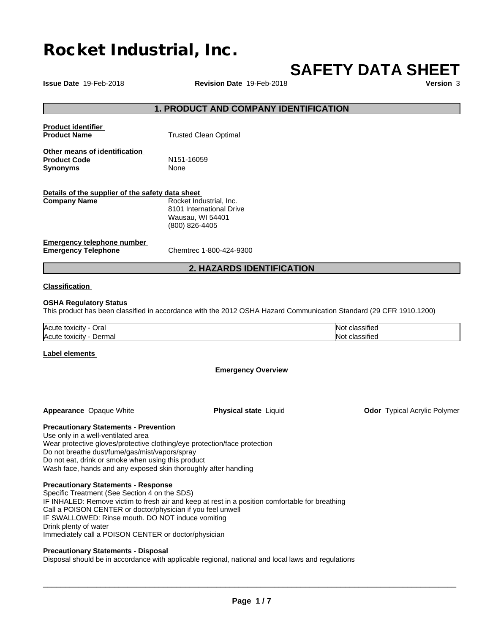# **Rocket Industrial, Inc.**

# **SAFETY DATA SHEET**

**Issue Date** 19-Feb-2018 **Revision Date** 19-Feb-2018 **Version** 3

## **1. PRODUCT AND COMPANY IDENTIFICATION**

| <b>Product identifier</b><br><b>Product Name</b>                        | <b>Trusted Clean Optimal</b>                                                              |
|-------------------------------------------------------------------------|-------------------------------------------------------------------------------------------|
| Other means of identification<br><b>Product Code</b><br><b>Synonyms</b> | N <sub>151-16059</sub><br>None                                                            |
| Details of the supplier of the safety data sheet<br><b>Company Name</b> | Rocket Industrial, Inc.<br>8101 International Drive<br>Wausau, WI 54401<br>(800) 826-4405 |
| Emergency telephone number                                              |                                                                                           |

**Emergency Telephone** Chemtrec 1-800-424-9300

# **2. HAZARDS IDENTIFICATION**

## **Classification**

## **OSHA Regulatory Status**

This product has been classified in accordance with the 2012 OSHA Hazard Communication Standard (29 CFR 1910.1200)

| Acute<br>Oral<br>toxicit<br>. <i>.</i>      | $\cdots$<br>ssified<br>. . |
|---------------------------------------------|----------------------------|
| <b>Acute</b><br>Derma:<br>toxicity<br>⊥ild⊍ | $\cdot$<br>וחו<br>ssified  |

#### **Label elements**

**Emergency Overview**

**Appearance** Opaque White **Physical state** Liquid

**Odor** Typical Acrylic Polymer

**Precautionary Statements - Prevention**

Use only in a well-ventilated area Wear protective gloves/protective clothing/eye protection/face protection Do not breathe dust/fume/gas/mist/vapors/spray Do not eat, drink or smoke when using this product Wash face, hands and any exposed skin thoroughly after handling

#### **Precautionary Statements - Response**

Specific Treatment (See Section 4 on the SDS) IF INHALED: Remove victim to fresh air and keep at rest in a position comfortable for breathing Call a POISON CENTER or doctor/physician if you feel unwell IF SWALLOWED: Rinse mouth. DO NOT induce vomiting Drink plenty of water Immediately call a POISON CENTER or doctor/physician

#### **Precautionary Statements - Disposal**

Disposal should be in accordance with applicable regional, national and local laws and regulations

 $\overline{\phantom{a}}$  ,  $\overline{\phantom{a}}$  ,  $\overline{\phantom{a}}$  ,  $\overline{\phantom{a}}$  ,  $\overline{\phantom{a}}$  ,  $\overline{\phantom{a}}$  ,  $\overline{\phantom{a}}$  ,  $\overline{\phantom{a}}$  ,  $\overline{\phantom{a}}$  ,  $\overline{\phantom{a}}$  ,  $\overline{\phantom{a}}$  ,  $\overline{\phantom{a}}$  ,  $\overline{\phantom{a}}$  ,  $\overline{\phantom{a}}$  ,  $\overline{\phantom{a}}$  ,  $\overline{\phantom{a}}$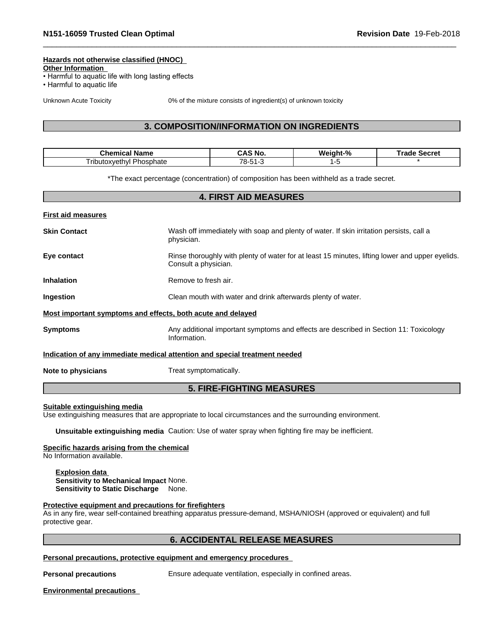## **Hazards not otherwise classified (HNOC)**

**Other Information**

- Harmful to aquatic life with long lasting effects
- Harmful to aquatic life

Unknown Acute Toxicity 0% of the mixture consists of ingredient(s) of unknown toxicity

# **3. COMPOSITION/INFORMATION ON INGREDIENTS**

| $\sim$<br>าไก่≙m.<br>- -- -<br>ame | No.          | w.<br>04<br>ant-‰ | $\sim$<br><br>necie. |
|------------------------------------|--------------|-------------------|----------------------|
| nonhota<br>vethyl<br>rib.<br>nate  | 70<br>$\sim$ |                   |                      |

\*The exact percentage (concentration) of composition has been withheld as a trade secret.

| <b>4. FIRST AID MEASURES</b> |                                                                                                                         |  |
|------------------------------|-------------------------------------------------------------------------------------------------------------------------|--|
| <b>First aid measures</b>    |                                                                                                                         |  |
| <b>Skin Contact</b>          | Wash off immediately with soap and plenty of water. If skin irritation persists, call a<br>physician.                   |  |
| Eye contact                  | Rinse thoroughly with plenty of water for at least 15 minutes, lifting lower and upper eyelids.<br>Consult a physician. |  |
| <b>Inhalation</b>            | Remove to fresh air.                                                                                                    |  |
| Ingestion                    | Clean mouth with water and drink afterwards plenty of water.                                                            |  |
|                              | Most important symptoms and effects, both acute and delayed                                                             |  |
| <b>Symptoms</b>              | Any additional important symptoms and effects are described in Section 11: Toxicology<br>Information.                   |  |
|                              | Indication of any immediate medical attention and special treatment needed                                              |  |
| Note to physicians           | Treat symptomatically.                                                                                                  |  |
|                              | <b>5. FIRE-FIGHTING MEASURES</b>                                                                                        |  |

#### **Suitable extinguishing media**

Use extinguishing measures that are appropriate to local circumstances and the surrounding environment.

**Unsuitable extinguishing media** Caution: Use of water spray when fighting fire may be inefficient.

## **Specific hazards arising from the chemical**

No Information available.

**Explosion data Sensitivity to Mechanical Impact** None. **Sensitivity to Static Discharge** None.

#### **Protective equipment and precautions for firefighters**

As in any fire, wear self-contained breathing apparatus pressure-demand, MSHA/NIOSH (approved or equivalent) and full protective gear.

# **6. ACCIDENTAL RELEASE MEASURES**

**Personal precautions, protective equipment and emergency procedures**

**Personal precautions** Ensure adequate ventilation, especially in confined areas.

**Environmental precautions**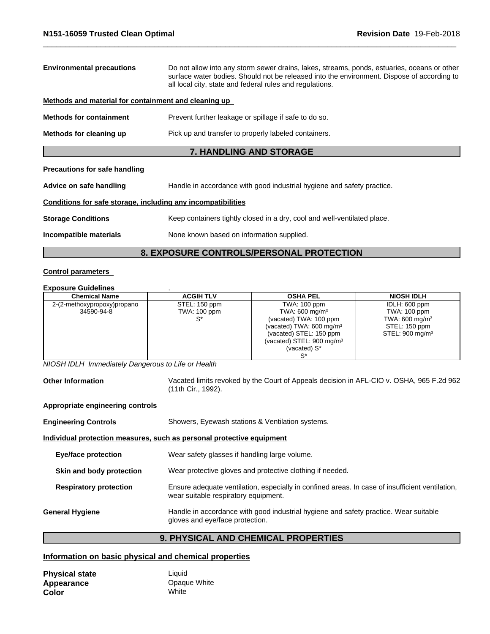| <b>Environmental precautions</b><br>Do not allow into any storm sewer drains, lakes, streams, ponds, estuaries, oceans or other<br>surface water bodies. Should not be released into the environment. Dispose of according to<br>all local city, state and federal rules and regulations. |                                                                          |  |
|-------------------------------------------------------------------------------------------------------------------------------------------------------------------------------------------------------------------------------------------------------------------------------------------|--------------------------------------------------------------------------|--|
| Methods and material for containment and cleaning up                                                                                                                                                                                                                                      |                                                                          |  |
| <b>Methods for containment</b>                                                                                                                                                                                                                                                            | Prevent further leakage or spillage if safe to do so.                    |  |
| Pick up and transfer to properly labeled containers.<br>Methods for cleaning up                                                                                                                                                                                                           |                                                                          |  |
|                                                                                                                                                                                                                                                                                           | <b>7. HANDLING AND STORAGE</b>                                           |  |
| <b>Precautions for safe handling</b>                                                                                                                                                                                                                                                      |                                                                          |  |
| Advice on safe handling<br>Handle in accordance with good industrial hygiene and safety practice.                                                                                                                                                                                         |                                                                          |  |
| Conditions for safe storage, including any incompatibilities                                                                                                                                                                                                                              |                                                                          |  |
| <b>Storage Conditions</b>                                                                                                                                                                                                                                                                 | Keep containers tightly closed in a dry, cool and well-ventilated place. |  |

**Incompatible materials** None known based on information supplied.

# **8. EXPOSURE CONTROLS/PERSONAL PROTECTION**

## **Control parameters**

# **Exposure Guidelines** .

| <b>Chemical Name</b>        | <b>ACGIH TLV</b> | <b>OSHA PEL</b>                       | <b>NIOSH IDLH</b>           |
|-----------------------------|------------------|---------------------------------------|-----------------------------|
| 2-(2-methoxypropoxy)propano | STEL: 150 ppm    | TWA: 100 ppm                          | IDLH: 600 ppm               |
| 34590-94-8                  | TWA: 100 ppm     | TWA: 600 mg/m <sup>3</sup>            | TWA: 100 ppm                |
|                             |                  | (vacated) TWA: 100 ppm                | TWA: $600 \text{ mg/m}^3$   |
|                             |                  | (vacated) TWA: $600 \text{ mg/m}^3$   | STEL: 150 ppm               |
|                             |                  | (vacated) STEL: 150 ppm               | STEL: 900 mg/m <sup>3</sup> |
|                             |                  | (vacated) STEL: 900 mg/m <sup>3</sup> |                             |
|                             |                  | (vacated) S*                          |                             |
|                             |                  |                                       |                             |

*NIOSH IDLH Immediately Dangerous to Life or Health*

**Other Information** Vacated limits revoked by the Court of Appeals decision in AFL-CIO v.OSHA, 965 F.2d 962 (11th Cir., 1992).

## **Appropriate engineering controls**

| <b>Engineering Controls</b>                                           | Showers, Eyewash stations & Ventilation systems.                                                                                        |  |
|-----------------------------------------------------------------------|-----------------------------------------------------------------------------------------------------------------------------------------|--|
| Individual protection measures, such as personal protective equipment |                                                                                                                                         |  |
| Eye/face protection                                                   | Wear safety glasses if handling large volume.                                                                                           |  |
| Skin and body protection                                              | Wear protective gloves and protective clothing if needed.                                                                               |  |
| <b>Respiratory protection</b>                                         | Ensure adequate ventilation, especially in confined areas. In case of insufficient ventilation,<br>wear suitable respiratory equipment. |  |
| <b>General Hygiene</b>                                                | Handle in accordance with good industrial hygiene and safety practice. Wear suitable<br>gloves and eye/face protection.                 |  |

# **9. PHYSICAL AND CHEMICAL PROPERTIES**

# **Information on basic physical and chemical properties**

| <b>Physical state</b> | Liauid       |
|-----------------------|--------------|
| Appearance            | Opaque White |
| Color                 | White        |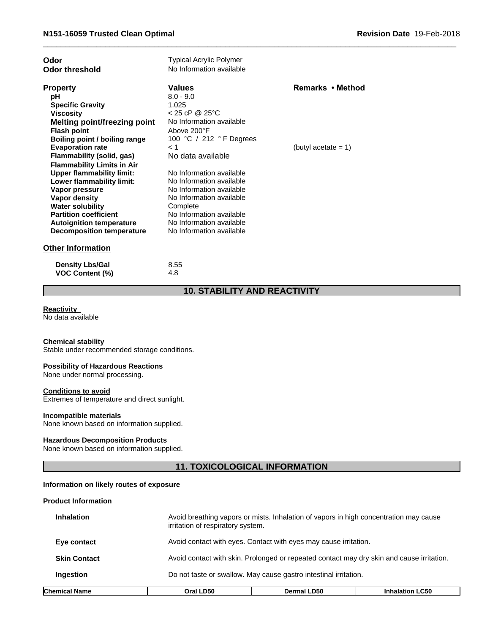| Odor<br><b>Odor threshold</b>     | Typical Acrylic Polymer<br>No Information available |                        |
|-----------------------------------|-----------------------------------------------------|------------------------|
| <b>Property</b>                   | Values                                              | Remarks • Method       |
| рH                                | $8.0 - 9.0$                                         |                        |
| <b>Specific Gravity</b>           | 1.025                                               |                        |
| <b>Viscosity</b>                  | < 25 cP @ 25°C                                      |                        |
| Melting point/freezing point      | No Information available                            |                        |
| <b>Flash point</b>                | Above 200°F                                         |                        |
| Boiling point / boiling range     | 100 °C / 212 °F Degrees                             |                        |
| <b>Evaporation rate</b>           | < 1                                                 | (butyl acetate $= 1$ ) |
| Flammability (solid, gas)         | No data available                                   |                        |
| <b>Flammability Limits in Air</b> |                                                     |                        |
| <b>Upper flammability limit:</b>  | No Information available                            |                        |
| Lower flammability limit:         | No Information available                            |                        |
| Vapor pressure                    | No Information available                            |                        |
| Vapor density                     | No Information available                            |                        |
| <b>Water solubility</b>           | Complete                                            |                        |
| <b>Partition coefficient</b>      | No Information available                            |                        |
| <b>Autoignition temperature</b>   | No Information available                            |                        |
| Decomposition temperature         | No Information available                            |                        |
| <b>Other Information</b>          |                                                     |                        |
| <b>Density Lbs/Gal</b>            | 8.55                                                |                        |
| <b>VOC Content (%)</b>            | 4.8                                                 |                        |

# **10. STABILITY AND REACTIVITY**

## **Reactivity**

No data available

# **Chemical stability**

Stable under recommended storage conditions.

## **Possibility of Hazardous Reactions**

None under normal processing.

#### **Conditions to avoid**

Extremes of temperature and direct sunlight.

#### **Incompatible materials**

None known based on information supplied.

#### **Hazardous Decomposition Products**

None known based on information supplied.

# **11. TOXICOLOGICAL INFORMATION**

# **Information on likely routes of exposure**

## **Product Information**

| Chemical Name       | Oral LD50                                                                                                                  | <b>Dermal LD50</b>                                               | <b>Inhalation LC50</b> |
|---------------------|----------------------------------------------------------------------------------------------------------------------------|------------------------------------------------------------------|------------------------|
| <b>Ingestion</b>    | Do not taste or swallow. May cause gastro intestinal irritation.                                                           |                                                                  |                        |
| <b>Skin Contact</b> | Avoid contact with skin. Prolonged or repeated contact may dry skin and cause irritation.                                  |                                                                  |                        |
| Eye contact         |                                                                                                                            | Avoid contact with eyes. Contact with eyes may cause irritation. |                        |
| <b>Inhalation</b>   | Avoid breathing vapors or mists. Inhalation of vapors in high concentration may cause<br>irritation of respiratory system. |                                                                  |                        |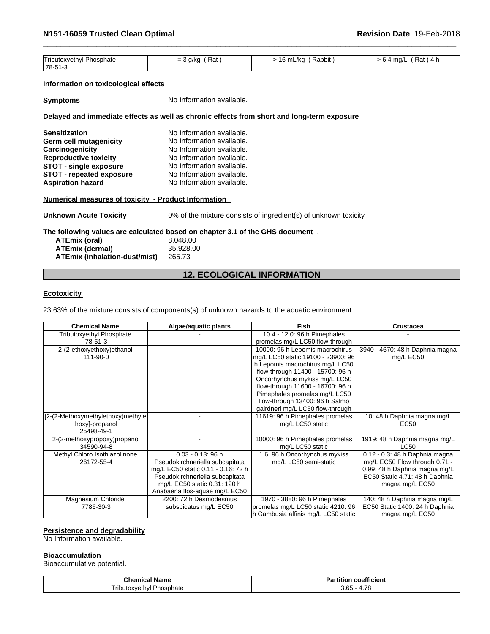| Tributoxvethvl<br>l Phosphate | Rat<br>= 3 a/ka | Rabbit<br>1 C<br>.6 mL/ka | Rat<br>1 ma/L<br>. 4<br>> 0.4<br><u>т.</u><br>. . |  |
|-------------------------------|-----------------|---------------------------|---------------------------------------------------|--|
| 78-51-3                       |                 |                           |                                                   |  |

# **Information on toxicological effects**

**Symptoms** No Information available.

## **Delayed and immediate effects as well as chronic effects from short and long-term exposure**

| <b>Sensitization</b>          | No Information available. |
|-------------------------------|---------------------------|
| <b>Germ cell mutagenicity</b> | No Information available. |
| Carcinogenicity               | No Information available. |
| <b>Reproductive toxicity</b>  | No Information available. |
| <b>STOT - single exposure</b> | No Information available. |
| STOT - repeated exposure      | No Information available. |
| <b>Aspiration hazard</b>      | No Information available. |
|                               |                           |

## **Numerical measures of toxicity - Product Information**

**Unknown Acute Toxicity** 0% of the mixture consists of ingredient(s) of unknown toxicity

**The following values are calculated based on chapter 3.1 of the GHS document** .

| ATEmix (oral)                        | 8.048.00  |
|--------------------------------------|-----------|
| ATEmix (dermal)                      | 35.928.00 |
| <b>ATEmix (inhalation-dust/mist)</b> | 265.73    |

# **12. ECOLOGICAL INFORMATION**

## **Ecotoxicity**

23.63% of the mixture consists of components(s) of unknown hazards to the aquatic environment

| <b>Chemical Name</b>              | Algae/aquatic plants               | <b>Fish</b>                         | Crustacea                       |
|-----------------------------------|------------------------------------|-------------------------------------|---------------------------------|
| <b>Tributoxyethyl Phosphate</b>   |                                    | 10.4 - 12.0: 96 h Pimephales        |                                 |
| 78-51-3                           |                                    | promelas mg/L LC50 flow-through     |                                 |
| 2-(2-ethoxyethoxy) ethanol        |                                    | 10000: 96 h Lepomis macrochirus     | 3940 - 4670: 48 h Daphnia magna |
| 111-90-0                          |                                    | mg/L LC50 static 19100 - 23900: 96  | mg/L EC50                       |
|                                   |                                    | h Lepomis macrochirus mg/L LC50     |                                 |
|                                   |                                    | flow-through 11400 - 15700: 96 h    |                                 |
|                                   |                                    | Oncorhynchus mykiss mg/L LC50       |                                 |
|                                   |                                    | flow-through 11600 - 16700: 96 h    |                                 |
|                                   |                                    | Pimephales promelas mg/L LC50       |                                 |
|                                   |                                    | flow-through 13400: 96 h Salmo      |                                 |
|                                   |                                    | gairdneri mg/L LC50 flow-through    |                                 |
| [2-(2-Methoxymethylethoxy)methyle |                                    | 11619: 96 h Pimephales promelas     | 10: 48 h Daphnia magna mg/L     |
| thoxy]-propanol                   |                                    | mg/L LC50 static                    | EC50                            |
| 25498-49-1                        |                                    |                                     |                                 |
| 2-(2-methoxypropoxy)propano       |                                    | 10000: 96 h Pimephales promelas     | 1919: 48 h Daphnia magna mg/L   |
| 34590-94-8                        |                                    | mg/L LC50 static                    | <b>LC50</b>                     |
| Methyl Chloro Isothiazolinone     | $0.03 - 0.13$ : 96 h               | 1.6: 96 h Oncorhynchus mykiss       | 0.12 - 0.3: 48 h Daphnia magna  |
| 26172-55-4                        | Pseudokirchneriella subcapitata    | mg/L LC50 semi-static               | mg/L EC50 Flow through 0.71 -   |
|                                   | mg/L EC50 static 0.11 - 0.16: 72 h |                                     | 0.99: 48 h Daphnia magna mg/L   |
|                                   | Pseudokirchneriella subcapitata    |                                     | EC50 Static 4.71: 48 h Daphnia  |
|                                   | mg/L EC50 static 0.31: 120 h       |                                     | magna mg/L EC50                 |
|                                   | Anabaena flos-aquae mg/L EC50      |                                     |                                 |
| Magnesium Chloride                | 2200: 72 h Desmodesmus             | 1970 - 3880: 96 h Pimephales        | 140: 48 h Daphnia magna mg/L    |
| 7786-30-3                         | subspicatus mg/L EC50              | promelas mg/L LC50 static 4210: 96  | EC50 Static 1400: 24 h Daphnia  |
|                                   |                                    | h Gambusia affinis mg/L LC50 static | magna mg/L EC50                 |

## **Persistence and degradability**

No Information available.

## **Bioaccumulation**

Bioaccumulative potential.

| . .<br>Chemical<br>' Name    | $- - -$<br><b>CORTIGIED</b><br>τιτιοι<br>а |
|------------------------------|--------------------------------------------|
| Phosphate<br>I ributoxvethvl | 70<br>ה ה<br><u>n</u><br>J.UJ              |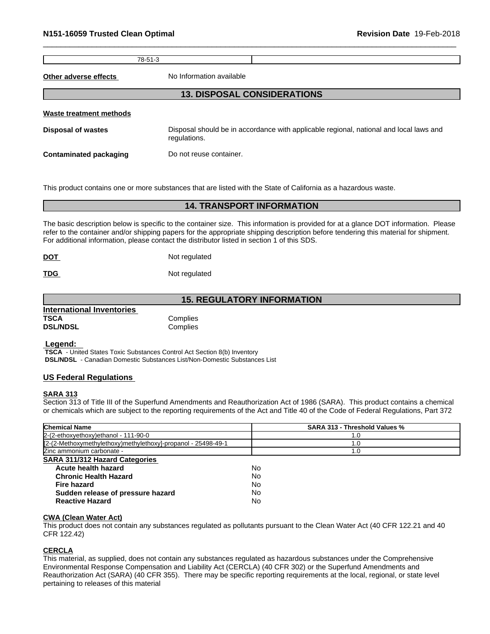78-51-3

**Other adverse effects** No Information available

# **13. DISPOSAL CONSIDERATIONS**

| Waste treatment methods       |                                                                                                        |
|-------------------------------|--------------------------------------------------------------------------------------------------------|
| Disposal of wastes            | Disposal should be in accordance with applicable regional, national and local laws and<br>regulations. |
| <b>Contaminated packaging</b> | Do not reuse container.                                                                                |

This product contains one or more substances that are listed with the State of California as a hazardous waste.

## **14. TRANSPORT INFORMATION**

The basic description below is specific to the container size. This information is provided for at a glance DOT information. Please refer to the container and/or shipping papers for the appropriate shipping description before tendering this material for shipment. For additional information, please contact the distributor listed in section 1 of this SDS.

| <b>DOT</b> | Not regulated |  |
|------------|---------------|--|
|            |               |  |

**TDG** Not regulated

# **15. REGULATORY INFORMATION**

| <b>International Inventories</b> |          |  |
|----------------------------------|----------|--|
| TSCA                             | Complies |  |
| <b>DSL/NDSL</b>                  | Complies |  |

 **Legend:** 

 **TSCA** - United States Toxic Substances Control Act Section 8(b) Inventory  **DSL/NDSL** - Canadian Domestic Substances List/Non-Domestic Substances List

## **US Federal Regulations**

#### **SARA 313**

Section 313 of Title III of the Superfund Amendments and Reauthorization Act of 1986 (SARA). This product contains a chemical or chemicals which are subject to the reporting requirements of the Act and Title 40 of the Code of Federal Regulations, Part 372

| <b>Chemical Name</b>                                          | <b>SARA 313 - Threshold Values %</b> |
|---------------------------------------------------------------|--------------------------------------|
| 2-(2-ethoxyethoxy)ethanol - 111-90-0                          | 1.0                                  |
| [2-(2-Methoxymethylethoxy)methylethoxy]-propanol - 25498-49-1 | .0                                   |
| Zinc ammonium carbonate -                                     | 1.0                                  |
| <b>SARA 311/312 Hazard Categories</b>                         |                                      |
| Acute health hazard                                           | No                                   |
| <b>Chronic Health Hazard</b>                                  | No                                   |
| <b>Fire hazard</b>                                            | No                                   |
| Sudden release of pressure hazard                             | No                                   |
| <b>Reactive Hazard</b>                                        | No                                   |

#### **CWA (Clean WaterAct)**

This product does not contain any substances regulated as pollutants pursuant to the Clean Water Act (40 CFR 122.21 and 40 CFR 122.42)

# **CERCLA**

This material, as supplied, does not contain any substances regulated as hazardous substances under the Comprehensive Environmental Response Compensation and Liability Act (CERCLA) (40 CFR 302) or the Superfund Amendments and Reauthorization Act (SARA) (40 CFR 355). There may be specific reporting requirements at the local, regional, or state level pertaining to releases of this material